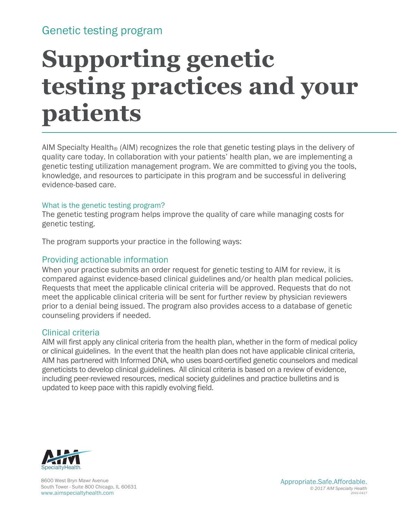### Genetic testing program

# **Supporting genetic testing practices and your patients**

AIM Specialty Health<sup>®</sup> (AIM) recognizes the role that genetic testing plays in the delivery of quality care today. In collaboration with your patients' health plan, we are implementing a genetic testing utilization management program. We are committed to giving you the tools, knowledge, and resources to participate in this program and be successful in delivering evidence-based care.

#### What is the genetic testing program?

The genetic testing program helps improve the quality of care while managing costs for genetic testing.

The program supports your practice in the following ways:

#### Providing actionable information

When your practice submits an order request for genetic testing to AIM for review, it is compared against evidence-based clinical guidelines and/or health plan medical policies. Requests that meet the applicable clinical criteria will be approved. Requests that do not meet the applicable clinical criteria will be sent for further review by physician reviewers prior to a denial being issued. The program also provides access to a database of genetic counseling providers if needed.

#### Clinical criteria

AIM will first apply any clinical criteria from the health plan, whether in the form of medical policy or clinical guidelines. In the event that the health plan does not have applicable clinical criteria, AIM has partnered with Informed DNA, who uses board-certified genetic counselors and medical geneticists to develop clinical guidelines. All clinical criteria is based on a review of evidence, including peer-reviewed resources, medical society guidelines and practice bulletins and is updated to keep pace with this rapidly evolving field.



8600 West Bryn Mawr Avenue South Tower - Suite 800 Chicago, IL 60631 www.aimspecialtyhealth.com